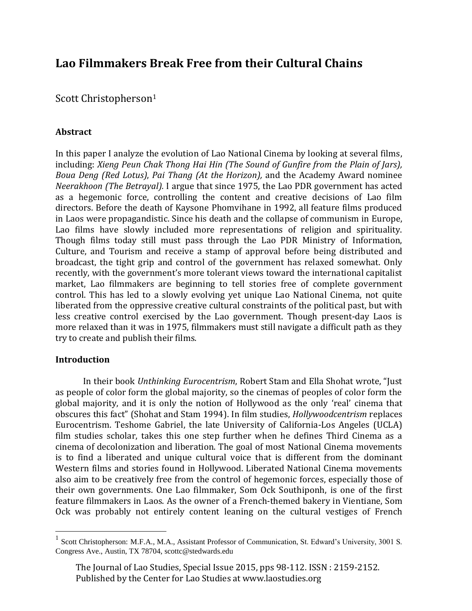# **Lao Filmmakers Break Free from their Cultural Chains**

Scott Christopherson<sup>1</sup>

# **Abstract**

In this paper I analyze the evolution of Lao National Cinema by looking at several films, including: *Xieng Peun Chak Thong Hai Hin (The Sound of Gunfire from the Plain of Jars), Boua Deng (Red Lotus)*, *Pai Thang (At the Horizon),* and the Academy Award nominee *Neerakhoon (The Betrayal).* I argue that since 1975, the Lao PDR government has acted as a hegemonic force, controlling the content and creative decisions of Lao film directors. Before the death of Kaysone Phomvihane in 1992, all feature films produced in Laos were propagandistic. Since his death and the collapse of communism in Europe, Lao films have slowly included more representations of religion and spirituality. Though films today still must pass through the Lao PDR Ministry of Information, Culture, and Tourism and receive a stamp of approval before being distributed and broadcast, the tight grip and control of the government has relaxed somewhat. Only recently, with the government's more tolerant views toward the international capitalist market, Lao filmmakers are beginning to tell stories free of complete government control. This has led to a slowly evolving yet unique Lao National Cinema, not quite liberated from the oppressive creative cultural constraints of the political past, but with less creative control exercised by the Lao government. Though present-day Laos is more relaxed than it was in 1975, filmmakers must still navigate a difficult path as they try to create and publish their films.

## **Introduction**

 $\overline{a}$ 

In their book *Unthinking Eurocentrism*, Robert Stam and Ella Shohat wrote, "Just as people of color form the global majority, so the cinemas of peoples of color form the global majority, and it is only the notion of Hollywood as the only 'real' cinema that obscures this fact" (Shohat and Stam 1994). In film studies, *Hollywoodcentrism* replaces Eurocentrism. Teshome Gabriel, the late University of California-Los Angeles (UCLA) film studies scholar, takes this one step further when he defines Third Cinema as a cinema of decolonization and liberation. The goal of most National Cinema movements is to find a liberated and unique cultural voice that is different from the dominant Western films and stories found in Hollywood. Liberated National Cinema movements also aim to be creatively free from the control of hegemonic forces, especially those of their own governments. One Lao filmmaker, Som Ock Southiponh, is one of the first feature filmmakers in Laos. As the owner of a French-themed bakery in Vientiane, Som Ock was probably not entirely content leaning on the cultural vestiges of French

<sup>&</sup>lt;sup>1</sup> Scott Christopherson: M.F.A., M.A., Assistant Professor of Communication, St. Edward's University, 3001 S. Congress Ave., Austin, TX 78704, scottc@stedwards.edu

The Journal of Lao Studies, Special Issue 2015, pps 98-112. ISSN : 2159-2152. Published by the Center for Lao Studies at www.laostudies.org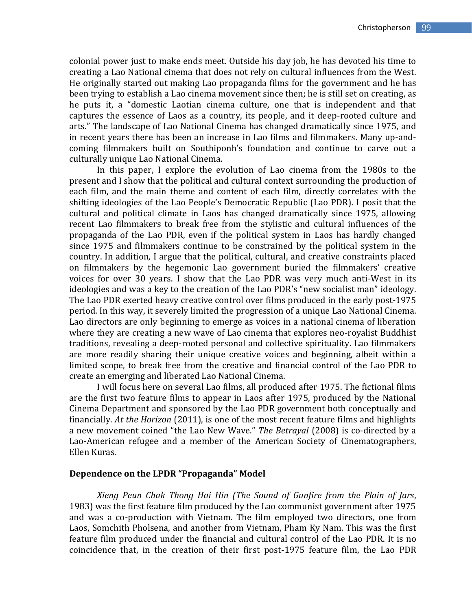colonial power just to make ends meet. Outside his day job, he has devoted his time to creating a Lao National cinema that does not rely on cultural influences from the West. He originally started out making Lao propaganda films for the government and he has been trying to establish a Lao cinema movement since then; he is still set on creating, as he puts it, a "domestic Laotian cinema culture, one that is independent and that captures the essence of Laos as a country, its people, and it deep-rooted culture and arts." The landscape of Lao National Cinema has changed dramatically since 1975, and in recent years there has been an increase in Lao films and filmmakers. Many up-andcoming filmmakers built on Southiponh's foundation and continue to carve out a culturally unique Lao National Cinema.

In this paper, I explore the evolution of Lao cinema from the 1980s to the present and I show that the political and cultural context surrounding the production of each film, and the main theme and content of each film, directly correlates with the shifting ideologies of the Lao People's Democratic Republic (Lao PDR). I posit that the cultural and political climate in Laos has changed dramatically since 1975, allowing recent Lao filmmakers to break free from the stylistic and cultural influences of the propaganda of the Lao PDR, even if the political system in Laos has hardly changed since 1975 and filmmakers continue to be constrained by the political system in the country. In addition, I argue that the political, cultural, and creative constraints placed on filmmakers by the hegemonic Lao government buried the filmmakers' creative voices for over 30 years. I show that the Lao PDR was very much anti-West in its ideologies and was a key to the creation of the Lao PDR's "new socialist man" ideology. The Lao PDR exerted heavy creative control over films produced in the early post-1975 period. In this way, it severely limited the progression of a unique Lao National Cinema. Lao directors are only beginning to emerge as voices in a national cinema of liberation where they are creating a new wave of Lao cinema that explores neo-royalist Buddhist traditions, revealing a deep-rooted personal and collective spirituality. Lao filmmakers are more readily sharing their unique creative voices and beginning, albeit within a limited scope, to break free from the creative and financial control of the Lao PDR to create an emerging and liberated Lao National Cinema.

I will focus here on several Lao films, all produced after 1975. The fictional films are the first two feature films to appear in Laos after 1975, produced by the National Cinema Department and sponsored by the Lao PDR government both conceptually and financially. *At the Horizon* (2011), is one of the most recent feature films and highlights a new movement coined "the Lao New Wave." *The Betrayal* (2008) is co-directed by a Lao-American refugee and a member of the American Society of Cinematographers, Ellen Kuras.

#### **Dependence on the LPDR "Propaganda" Model**

*Xieng Peun Chak Thong Hai Hin (The Sound of Gunfire from the Plain of Jars*, 1983) was the first feature film produced by the Lao communist government after 1975 and was a co-production with Vietnam. The film employed two directors, one from Laos, Somchith Pholsena, and another from Vietnam, Pham Ky Nam. This was the first feature film produced under the financial and cultural control of the Lao PDR. It is no coincidence that, in the creation of their first post-1975 feature film, the Lao PDR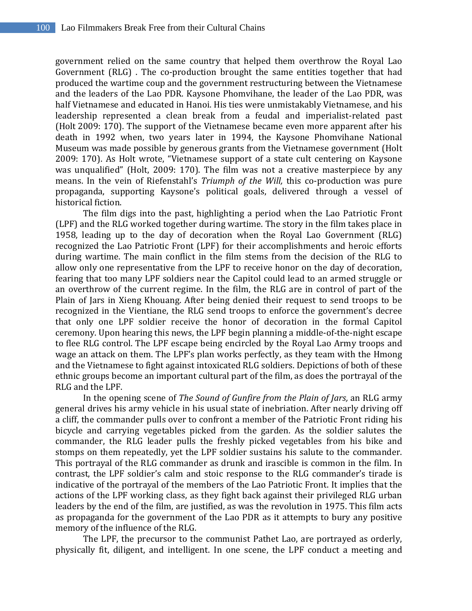government relied on the same country that helped them overthrow the Royal Lao Government (RLG) . The co-production brought the same entities together that had produced the wartime coup and the government restructuring between the Vietnamese and the leaders of the Lao PDR. Kaysone Phomvihane, the leader of the Lao PDR, was half Vietnamese and educated in Hanoi. His ties were unmistakably Vietnamese, and his leadership represented a clean break from a feudal and imperialist-related past (Holt 2009: 170). The support of the Vietnamese became even more apparent after his death in 1992 when, two years later in 1994, the Kaysone Phomvihane National Museum was made possible by generous grants from the Vietnamese government (Holt 2009: 170). As Holt wrote, "Vietnamese support of a state cult centering on Kaysone was unqualified" (Holt, 2009: 170). The film was not a creative masterpiece by any means. In the vein of Riefenstahl's *Triumph of the Will,* this co-production was pure propaganda, supporting Kaysone's political goals, delivered through a vessel of historical fiction.

The film digs into the past, highlighting a period when the Lao Patriotic Front (LPF) and the RLG worked together during wartime. The story in the film takes place in 1958, leading up to the day of decoration when the Royal Lao Government (RLG) recognized the Lao Patriotic Front (LPF) for their accomplishments and heroic efforts during wartime. The main conflict in the film stems from the decision of the RLG to allow only one representative from the LPF to receive honor on the day of decoration, fearing that too many LPF soldiers near the Capitol could lead to an armed struggle or an overthrow of the current regime. In the film, the RLG are in control of part of the Plain of Jars in Xieng Khouang. After being denied their request to send troops to be recognized in the Vientiane, the RLG send troops to enforce the government's decree that only one LPF soldier receive the honor of decoration in the formal Capitol ceremony. Upon hearing this news, the LPF begin planning a middle-of-the-night escape to flee RLG control. The LPF escape being encircled by the Royal Lao Army troops and wage an attack on them. The LPF's plan works perfectly, as they team with the Hmong and the Vietnamese to fight against intoxicated RLG soldiers. Depictions of both of these ethnic groups become an important cultural part of the film, as does the portrayal of the RLG and the LPF.

In the opening scene of *The Sound of Gunfire from the Plain of Jars,* an RLG army general drives his army vehicle in his usual state of inebriation. After nearly driving off a cliff, the commander pulls over to confront a member of the Patriotic Front riding his bicycle and carrying vegetables picked from the garden. As the soldier salutes the commander, the RLG leader pulls the freshly picked vegetables from his bike and stomps on them repeatedly, yet the LPF soldier sustains his salute to the commander. This portrayal of the RLG commander as drunk and irascible is common in the film. In contrast, the LPF soldier's calm and stoic response to the RLG commander's tirade is indicative of the portrayal of the members of the Lao Patriotic Front. It implies that the actions of the LPF working class, as they fight back against their privileged RLG urban leaders by the end of the film, are justified, as was the revolution in 1975. This film acts as propaganda for the government of the Lao PDR as it attempts to bury any positive memory of the influence of the RLG.

The LPF, the precursor to the communist Pathet Lao, are portrayed as orderly, physically fit, diligent, and intelligent. In one scene, the LPF conduct a meeting and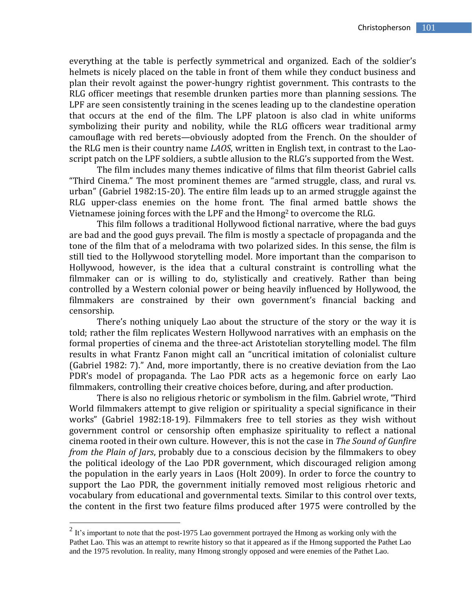everything at the table is perfectly symmetrical and organized. Each of the soldier's helmets is nicely placed on the table in front of them while they conduct business and plan their revolt against the power-hungry rightist government. This contrasts to the RLG officer meetings that resemble drunken parties more than planning sessions. The LPF are seen consistently training in the scenes leading up to the clandestine operation that occurs at the end of the film. The LPF platoon is also clad in white uniforms symbolizing their purity and nobility, while the RLG officers wear traditional army camouflage with red berets—obviously adopted from the French. On the shoulder of the RLG men is their country name *LAOS*, written in English text, in contrast to the Laoscript patch on the LPF soldiers, a subtle allusion to the RLG's supported from the West.

The film includes many themes indicative of films that film theorist Gabriel calls "Third Cinema." The most prominent themes are "armed struggle, class, and rural vs. urban" (Gabriel 1982:15-20). The entire film leads up to an armed struggle against the RLG upper-class enemies on the home front. The final armed battle shows the Vietnamese joining forces with the LPF and the Hmong<sup>2</sup> to overcome the RLG.

This film follows a traditional Hollywood fictional narrative, where the bad guys are bad and the good guys prevail. The film is mostly a spectacle of propaganda and the tone of the film that of a melodrama with two polarized sides. In this sense, the film is still tied to the Hollywood storytelling model. More important than the comparison to Hollywood, however, is the idea that a cultural constraint is controlling what the filmmaker can or is willing to do, stylistically and creatively. Rather than being controlled by a Western colonial power or being heavily influenced by Hollywood, the filmmakers are constrained by their own government's financial backing and censorship.

There's nothing uniquely Lao about the structure of the story or the way it is told; rather the film replicates Western Hollywood narratives with an emphasis on the formal properties of cinema and the three-act Aristotelian storytelling model. The film results in what Frantz Fanon might call an "uncritical imitation of colonialist culture (Gabriel 1982: 7)." And, more importantly, there is no creative deviation from the Lao PDR's model of propaganda. The Lao PDR acts as a hegemonic force on early Lao filmmakers, controlling their creative choices before, during, and after production.

There is also no religious rhetoric or symbolism in the film. Gabriel wrote, "Third World filmmakers attempt to give religion or spirituality a special significance in their works" (Gabriel 1982:18-19). Filmmakers free to tell stories as they wish without government control or censorship often emphasize spirituality to reflect a national cinema rooted in their own culture. However, this is not the case in *The Sound of Gunfire from the Plain of Jars*, probably due to a conscious decision by the filmmakers to obey the political ideology of the Lao PDR government, which discouraged religion among the population in the early years in Laos (Holt 2009). In order to force the country to support the Lao PDR, the government initially removed most religious rhetoric and vocabulary from educational and governmental texts. Similar to this control over texts, the content in the first two feature films produced after 1975 were controlled by the

<sup>&</sup>lt;sup>2</sup> It's important to note that the post-1975 Lao government portrayed the Hmong as working only with the Pathet Lao. This was an attempt to rewrite history so that it appeared as if the Hmong supported the Pathet Lao and the 1975 revolution. In reality, many Hmong strongly opposed and were enemies of the Pathet Lao.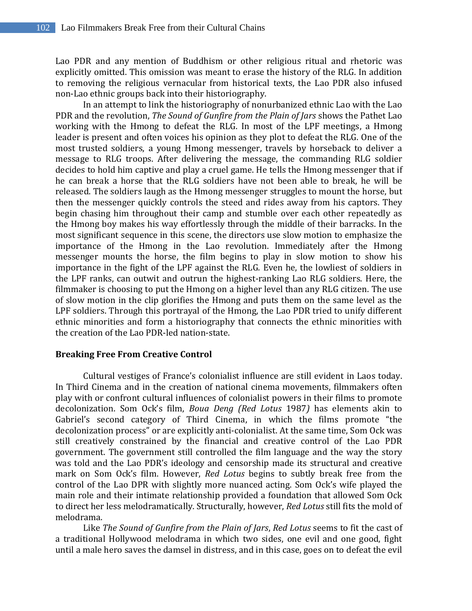Lao PDR and any mention of Buddhism or other religious ritual and rhetoric was explicitly omitted. This omission was meant to erase the history of the RLG. In addition to removing the religious vernacular from historical texts, the Lao PDR also infused non-Lao ethnic groups back into their historiography.

In an attempt to link the historiography of nonurbanized ethnic Lao with the Lao PDR and the revolution, *The Sound of Gunfire from the Plain of Jars* shows the Pathet Lao working with the Hmong to defeat the RLG. In most of the LPF meetings, a Hmong leader is present and often voices his opinion as they plot to defeat the RLG. One of the most trusted soldiers, a young Hmong messenger, travels by horseback to deliver a message to RLG troops. After delivering the message, the commanding RLG soldier decides to hold him captive and play a cruel game. He tells the Hmong messenger that if he can break a horse that the RLG soldiers have not been able to break, he will be released. The soldiers laugh as the Hmong messenger struggles to mount the horse, but then the messenger quickly controls the steed and rides away from his captors. They begin chasing him throughout their camp and stumble over each other repeatedly as the Hmong boy makes his way effortlessly through the middle of their barracks. In the most significant sequence in this scene, the directors use slow motion to emphasize the importance of the Hmong in the Lao revolution. Immediately after the Hmong messenger mounts the horse, the film begins to play in slow motion to show his importance in the fight of the LPF against the RLG. Even he, the lowliest of soldiers in the LPF ranks, can outwit and outrun the highest-ranking Lao RLG soldiers. Here, the filmmaker is choosing to put the Hmong on a higher level than any RLG citizen. The use of slow motion in the clip glorifies the Hmong and puts them on the same level as the LPF soldiers. Through this portrayal of the Hmong, the Lao PDR tried to unify different ethnic minorities and form a historiography that connects the ethnic minorities with the creation of the Lao PDR-led nation-state.

## **Breaking Free From Creative Control**

Cultural vestiges of France's colonialist influence are still evident in Laos today. In Third Cinema and in the creation of national cinema movements, filmmakers often play with or confront cultural influences of colonialist powers in their films to promote decolonization. Som Ock's film, *Boua Deng (Red Lotus* 1987*)* has elements akin to Gabriel's second category of Third Cinema, in which the films promote "the decolonization process" or are explicitly anti-colonialist. At the same time, Som Ock was still creatively constrained by the financial and creative control of the Lao PDR government. The government still controlled the film language and the way the story was told and the Lao PDR's ideology and censorship made its structural and creative mark on Som Ock's film. However, *Red Lotus* begins to subtly break free from the control of the Lao DPR with slightly more nuanced acting. Som Ock's wife played the main role and their intimate relationship provided a foundation that allowed Som Ock to direct her less melodramatically. Structurally, however, *Red Lotus* still fits the mold of melodrama.

Like *The Sound of Gunfire from the Plain of Jars*, *Red Lotus* seems to fit the cast of a traditional Hollywood melodrama in which two sides, one evil and one good, fight until a male hero saves the damsel in distress, and in this case, goes on to defeat the evil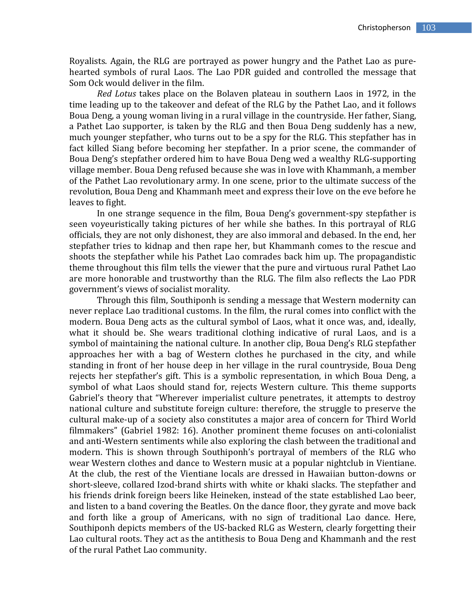Royalists. Again, the RLG are portrayed as power hungry and the Pathet Lao as purehearted symbols of rural Laos. The Lao PDR guided and controlled the message that Som Ock would deliver in the film.

*Red Lotus* takes place on the Bolaven plateau in southern Laos in 1972, in the time leading up to the takeover and defeat of the RLG by the Pathet Lao, and it follows Boua Deng, a young woman living in a rural village in the countryside. Her father, Siang, a Pathet Lao supporter, is taken by the RLG and then Boua Deng suddenly has a new, much younger stepfather, who turns out to be a spy for the RLG. This stepfather has in fact killed Siang before becoming her stepfather. In a prior scene, the commander of Boua Deng's stepfather ordered him to have Boua Deng wed a wealthy RLG-supporting village member. Boua Deng refused because she was in love with Khammanh, a member of the Pathet Lao revolutionary army. In one scene, prior to the ultimate success of the revolution, Boua Deng and Khammanh meet and express their love on the eve before he leaves to fight.

In one strange sequence in the film, Boua Deng's government-spy stepfather is seen voyeuristically taking pictures of her while she bathes. In this portrayal of RLG officials, they are not only dishonest, they are also immoral and debased. In the end, her stepfather tries to kidnap and then rape her, but Khammanh comes to the rescue and shoots the stepfather while his Pathet Lao comrades back him up. The propagandistic theme throughout this film tells the viewer that the pure and virtuous rural Pathet Lao are more honorable and trustworthy than the RLG. The film also reflects the Lao PDR government's views of socialist morality.

Through this film, Southiponh is sending a message that Western modernity can never replace Lao traditional customs. In the film, the rural comes into conflict with the modern. Boua Deng acts as the cultural symbol of Laos, what it once was, and, ideally, what it should be. She wears traditional clothing indicative of rural Laos, and is a symbol of maintaining the national culture. In another clip, Boua Deng's RLG stepfather approaches her with a bag of Western clothes he purchased in the city, and while standing in front of her house deep in her village in the rural countryside, Boua Deng rejects her stepfather's gift. This is a symbolic representation, in which Boua Deng, a symbol of what Laos should stand for, rejects Western culture. This theme supports Gabriel's theory that "Wherever imperialist culture penetrates, it attempts to destroy national culture and substitute foreign culture: therefore, the struggle to preserve the cultural make-up of a society also constitutes a major area of concern for Third World filmmakers" (Gabriel 1982: 16). Another prominent theme focuses on anti-colonialist and anti-Western sentiments while also exploring the clash between the traditional and modern. This is shown through Southiponh's portrayal of members of the RLG who wear Western clothes and dance to Western music at a popular nightclub in Vientiane. At the club, the rest of the Vientiane locals are dressed in Hawaiian button-downs or short-sleeve, collared Izod-brand shirts with white or khaki slacks. The stepfather and his friends drink foreign beers like Heineken, instead of the state established Lao beer, and listen to a band covering the Beatles. On the dance floor, they gyrate and move back and forth like a group of Americans, with no sign of traditional Lao dance. Here, Southiponh depicts members of the US-backed RLG as Western, clearly forgetting their Lao cultural roots. They act as the antithesis to Boua Deng and Khammanh and the rest of the rural Pathet Lao community.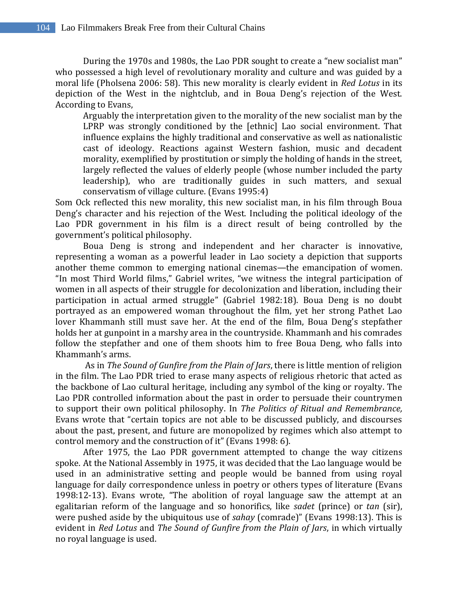During the 1970s and 1980s, the Lao PDR sought to create a "new socialist man" who possessed a high level of revolutionary morality and culture and was guided by a moral life (Pholsena 2006: 58). This new morality is clearly evident in *Red Lotus* in its depiction of the West in the nightclub, and in Boua Deng's rejection of the West. According to Evans,

Arguably the interpretation given to the morality of the new socialist man by the LPRP was strongly conditioned by the [ethnic] Lao social environment. That influence explains the highly traditional and conservative as well as nationalistic cast of ideology. Reactions against Western fashion, music and decadent morality, exemplified by prostitution or simply the holding of hands in the street, largely reflected the values of elderly people (whose number included the party leadership), who are traditionally guides in such matters, and sexual conservatism of village culture. (Evans 1995:4)

Som Ock reflected this new morality, this new socialist man, in his film through Boua Deng's character and his rejection of the West. Including the political ideology of the Lao PDR government in his film is a direct result of being controlled by the government's political philosophy.

Boua Deng is strong and independent and her character is innovative, representing a woman as a powerful leader in Lao society a depiction that supports another theme common to emerging national cinemas—the emancipation of women. "In most Third World films," Gabriel writes, "we witness the integral participation of women in all aspects of their struggle for decolonization and liberation, including their participation in actual armed struggle" (Gabriel 1982:18). Boua Deng is no doubt portrayed as an empowered woman throughout the film, yet her strong Pathet Lao lover Khammanh still must save her. At the end of the film, Boua Deng's stepfather holds her at gunpoint in a marshy area in the countryside. Khammanh and his comrades follow the stepfather and one of them shoots him to free Boua Deng, who falls into Khammanh's arms.

As in *The Sound of Gunfire from the Plain of Jars*, there is little mention of religion in the film. The Lao PDR tried to erase many aspects of religious rhetoric that acted as the backbone of Lao cultural heritage, including any symbol of the king or royalty. The Lao PDR controlled information about the past in order to persuade their countrymen to support their own political philosophy. In *The Politics of Ritual and Remembrance,* Evans wrote that "certain topics are not able to be discussed publicly, and discourses about the past, present, and future are monopolized by regimes which also attempt to control memory and the construction of it" (Evans 1998: 6).

After 1975, the Lao PDR government attempted to change the way citizens spoke. At the National Assembly in 1975, it was decided that the Lao language would be used in an administrative setting and people would be banned from using royal language for daily correspondence unless in poetry or others types of literature (Evans 1998:12-13). Evans wrote, "The abolition of royal language saw the attempt at an egalitarian reform of the language and so honorifics, like *sadet* (prince) or *tan* (sir), were pushed aside by the ubiquitous use of *sahay* (comrade)" (Evans 1998:13). This is evident in *Red Lotus* and *The Sound of Gunfire from the Plain of Jars*, in which virtually no royal language is used.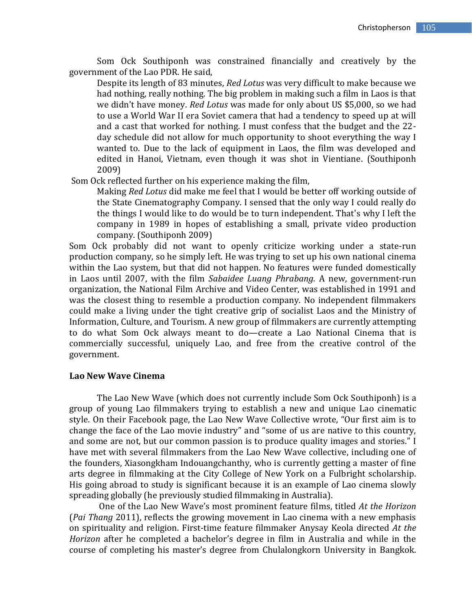Som Ock Southiponh was constrained financially and creatively by the government of the Lao PDR. He said,

Despite its length of 83 minutes, *Red Lotus* was very difficult to make because we had nothing, really nothing. The big problem in making such a film in Laos is that we didn't have money. *Red Lotus* was made for only about US \$5,000, so we had to use a World War II era Soviet camera that had a tendency to speed up at will and a cast that worked for nothing. I must confess that the budget and the 22 day schedule did not allow for much opportunity to shoot everything the way I wanted to. Due to the lack of equipment in Laos, the film was developed and edited in Hanoi, Vietnam, even though it was shot in Vientiane. (Southiponh 2009)

Som Ock reflected further on his experience making the film,

Making *Red Lotus* did make me feel that I would be better off working outside of the State Cinematography Company. I sensed that the only way I could really do the things I would like to do would be to turn independent. That's why I left the company in 1989 in hopes of establishing a small, private video production company. (Southiponh 2009)

Som Ock probably did not want to openly criticize working under a state-run production company, so he simply left. He was trying to set up his own national cinema within the Lao system, but that did not happen. No features were funded domestically in Laos until 2007, with the film *Sabaidee Luang Phrabang.* A new, government-run organization, the National Film Archive and Video Center, was established in 1991 and was the closest thing to resemble a production company. No independent filmmakers could make a living under the tight creative grip of socialist Laos and the Ministry of Information, Culture, and Tourism. A new group of filmmakers are currently attempting to do what Som Ock always meant to do—create a Lao National Cinema that is commercially successful, uniquely Lao, and free from the creative control of the government.

#### **Lao New Wave Cinema**

The Lao New Wave (which does not currently include Som Ock Southiponh) is a group of young Lao filmmakers trying to establish a new and unique Lao cinematic style. On their Facebook page, the Lao New Wave Collective wrote, "Our first aim is to change the face of the Lao movie industry" and "some of us are native to this country, and some are not, but our common passion is to produce quality images and stories." I have met with several filmmakers from the Lao New Wave collective, including one of the founders, Xiasongkham Indouangchanthy, who is currently getting a master of fine arts degree in filmmaking at the City College of New York on a Fulbright scholarship. His going abroad to study is significant because it is an example of Lao cinema slowly spreading globally (he previously studied filmmaking in Australia).

One of the Lao New Wave's most prominent feature films, titled *At the Horizon* (*Pai Thang* 2011), reflects the growing movement in Lao cinema with a new emphasis on spirituality and religion. First-time feature filmmaker Anysay Keola directed *At the Horizon* after he completed a bachelor's degree in film in Australia and while in the course of completing his master's degree from Chulalongkorn University in Bangkok.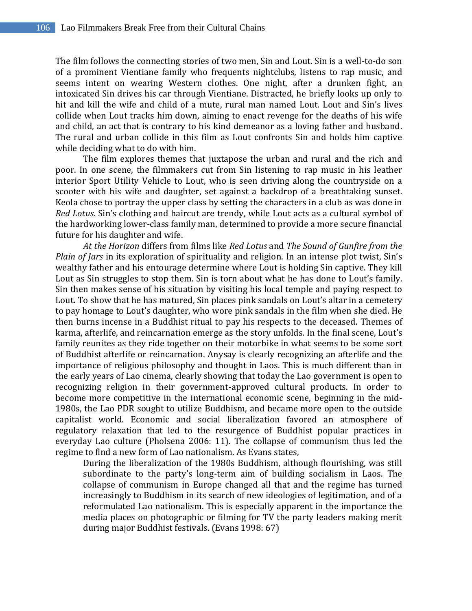The film follows the connecting stories of two men, Sin and Lout. Sin is a well-to-do son of a prominent Vientiane family who frequents nightclubs, listens to rap music, and seems intent on wearing Western clothes. One night, after a drunken fight, an intoxicated Sin drives his car through Vientiane. Distracted, he briefly looks up only to hit and kill the wife and child of a mute, rural man named Lout. Lout and Sin's lives collide when Lout tracks him down, aiming to enact revenge for the deaths of his wife and child, an act that is contrary to his kind demeanor as a loving father and husband. The rural and urban collide in this film as Lout confronts Sin and holds him captive while deciding what to do with him.

The film explores themes that juxtapose the urban and rural and the rich and poor. In one scene, the filmmakers cut from Sin listening to rap music in his leather interior Sport Utility Vehicle to Lout, who is seen driving along the countryside on a scooter with his wife and daughter, set against a backdrop of a breathtaking sunset. Keola chose to portray the upper class by setting the characters in a club as was done in *Red Lotus.* Sin's clothing and haircut are trendy, while Lout acts as a cultural symbol of the hardworking lower-class family man, determined to provide a more secure financial future for his daughter and wife.

*At the Horizon* differs from films like *Red Lotus* and *The Sound of Gunfire from the Plain of Jars* in its exploration of spirituality and religion. In an intense plot twist, Sin's wealthy father and his entourage determine where Lout is holding Sin captive. They kill Lout as Sin struggles to stop them. Sin is torn about what he has done to Lout's family. Sin then makes sense of his situation by visiting his local temple and paying respect to Lout**.** To show that he has matured, Sin places pink sandals on Lout's altar in a cemetery to pay homage to Lout's daughter, who wore pink sandals in the film when she died. He then burns incense in a Buddhist ritual to pay his respects to the deceased. Themes of karma, afterlife, and reincarnation emerge as the story unfolds. In the final scene, Lout's family reunites as they ride together on their motorbike in what seems to be some sort of Buddhist afterlife or reincarnation. Anysay is clearly recognizing an afterlife and the importance of religious philosophy and thought in Laos. This is much different than in the early years of Lao cinema, clearly showing that today the Lao government is open to recognizing religion in their government-approved cultural products. In order to become more competitive in the international economic scene, beginning in the mid-1980s, the Lao PDR sought to utilize Buddhism, and became more open to the outside capitalist world. Economic and social liberalization favored an atmosphere of regulatory relaxation that led to the resurgence of Buddhist popular practices in everyday Lao culture (Pholsena 2006: 11). The collapse of communism thus led the regime to find a new form of Lao nationalism. As Evans states,

During the liberalization of the 1980s Buddhism, although flourishing, was still subordinate to the party's long-term aim of building socialism in Laos. The collapse of communism in Europe changed all that and the regime has turned increasingly to Buddhism in its search of new ideologies of legitimation, and of a reformulated Lao nationalism. This is especially apparent in the importance the media places on photographic or filming for TV the party leaders making merit during major Buddhist festivals. (Evans 1998: 67)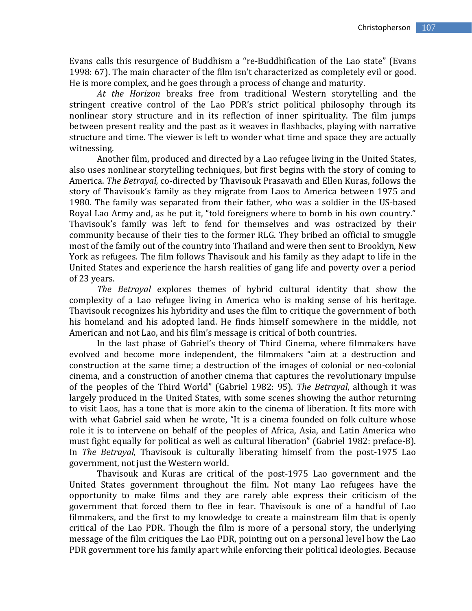Evans calls this resurgence of Buddhism a "re-Buddhification of the Lao state" (Evans 1998: 67). The main character of the film isn't characterized as completely evil or good. He is more complex, and he goes through a process of change and maturity.

*At the Horizon* breaks free from traditional Western storytelling and the stringent creative control of the Lao PDR's strict political philosophy through its nonlinear story structure and in its reflection of inner spirituality. The film jumps between present reality and the past as it weaves in flashbacks, playing with narrative structure and time. The viewer is left to wonder what time and space they are actually witnessing.

Another film, produced and directed by a Lao refugee living in the United States, also uses nonlinear storytelling techniques, but first begins with the story of coming to America. *The Betrayal,* co-directed by Thavisouk Prasavath and Ellen Kuras, follows the story of Thavisouk's family as they migrate from Laos to America between 1975 and 1980. The family was separated from their father, who was a soldier in the US-based Royal Lao Army and, as he put it, "told foreigners where to bomb in his own country." Thavisouk's family was left to fend for themselves and was ostracized by their community because of their ties to the former RLG. They bribed an official to smuggle most of the family out of the country into Thailand and were then sent to Brooklyn, New York as refugees. The film follows Thavisouk and his family as they adapt to life in the United States and experience the harsh realities of gang life and poverty over a period of 23 years.

*The Betrayal* explores themes of hybrid cultural identity that show the complexity of a Lao refugee living in America who is making sense of his heritage. Thavisouk recognizes his hybridity and uses the film to critique the government of both his homeland and his adopted land. He finds himself somewhere in the middle, not American and not Lao, and his film's message is critical of both countries.

In the last phase of Gabriel's theory of Third Cinema, where filmmakers have evolved and become more independent, the filmmakers "aim at a destruction and construction at the same time; a destruction of the images of colonial or neo-colonial cinema, and a construction of another cinema that captures the revolutionary impulse of the peoples of the Third World" (Gabriel 1982: 95). *The Betrayal*, although it was largely produced in the United States, with some scenes showing the author returning to visit Laos, has a tone that is more akin to the cinema of liberation. It fits more with with what Gabriel said when he wrote, "It is a cinema founded on folk culture whose role it is to intervene on behalf of the peoples of Africa, Asia, and Latin America who must fight equally for political as well as cultural liberation" (Gabriel 1982: preface-8). In *The Betrayal,* Thavisouk is culturally liberating himself from the post-1975 Lao government, not just the Western world.

Thavisouk and Kuras are critical of the post-1975 Lao government and the United States government throughout the film. Not many Lao refugees have the opportunity to make films and they are rarely able express their criticism of the government that forced them to flee in fear. Thavisouk is one of a handful of Lao filmmakers, and the first to my knowledge to create a mainstream film that is openly critical of the Lao PDR. Though the film is more of a personal story, the underlying message of the film critiques the Lao PDR, pointing out on a personal level how the Lao PDR government tore his family apart while enforcing their political ideologies. Because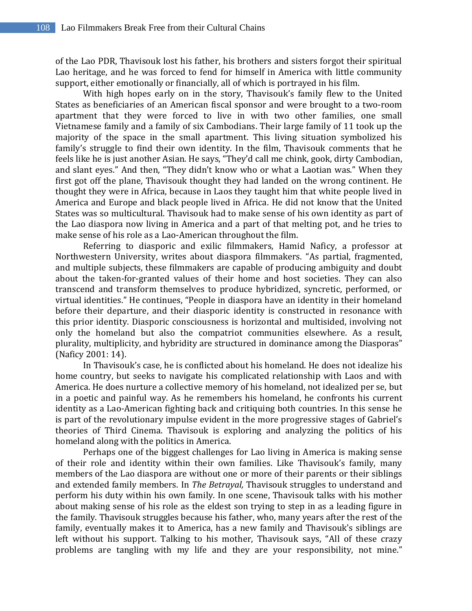of the Lao PDR, Thavisouk lost his father, his brothers and sisters forgot their spiritual Lao heritage, and he was forced to fend for himself in America with little community support, either emotionally or financially, all of which is portrayed in his film.

With high hopes early on in the story, Thavisouk's family flew to the United States as beneficiaries of an American fiscal sponsor and were brought to a two-room apartment that they were forced to live in with two other families, one small Vietnamese family and a family of six Cambodians. Their large family of 11 took up the majority of the space in the small apartment. This living situation symbolized his family's struggle to find their own identity. In the film, Thavisouk comments that he feels like he is just another Asian. He says, "They'd call me chink, gook, dirty Cambodian, and slant eyes." And then, "They didn't know who or what a Laotian was." When they first got off the plane, Thavisouk thought they had landed on the wrong continent. He thought they were in Africa, because in Laos they taught him that white people lived in America and Europe and black people lived in Africa. He did not know that the United States was so multicultural. Thavisouk had to make sense of his own identity as part of the Lao diaspora now living in America and a part of that melting pot, and he tries to make sense of his role as a Lao-American throughout the film.

Referring to diasporic and exilic filmmakers, Hamid Naficy, a professor at Northwestern University, writes about diaspora filmmakers. "As partial, fragmented, and multiple subjects, these filmmakers are capable of producing ambiguity and doubt about the taken-for-granted values of their home and host societies. They can also transcend and transform themselves to produce hybridized, syncretic, performed, or virtual identities." He continues, "People in diaspora have an identity in their homeland before their departure, and their diasporic identity is constructed in resonance with this prior identity. Diasporic consciousness is horizontal and multisided, involving not only the homeland but also the compatriot communities elsewhere. As a result, plurality, multiplicity, and hybridity are structured in dominance among the Diasporas" (Naficy 2001: 14).

In Thavisouk's case, he is conflicted about his homeland. He does not idealize his home country, but seeks to navigate his complicated relationship with Laos and with America. He does nurture a collective memory of his homeland, not idealized per se, but in a poetic and painful way. As he remembers his homeland, he confronts his current identity as a Lao-American fighting back and critiquing both countries. In this sense he is part of the revolutionary impulse evident in the more progressive stages of Gabriel's theories of Third Cinema. Thavisouk is exploring and analyzing the politics of his homeland along with the politics in America.

Perhaps one of the biggest challenges for Lao living in America is making sense of their role and identity within their own families. Like Thavisouk's family, many members of the Lao diaspora are without one or more of their parents or their siblings and extended family members. In *The Betrayal,* Thavisouk struggles to understand and perform his duty within his own family. In one scene, Thavisouk talks with his mother about making sense of his role as the eldest son trying to step in as a leading figure in the family. Thavisouk struggles because his father, who, many years after the rest of the family, eventually makes it to America, has a new family and Thavisouk's siblings are left without his support. Talking to his mother, Thavisouk says, "All of these crazy problems are tangling with my life and they are your responsibility, not mine."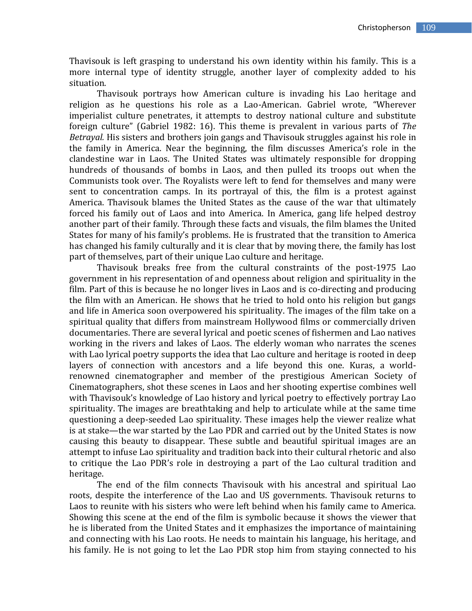Thavisouk is left grasping to understand his own identity within his family. This is a more internal type of identity struggle, another layer of complexity added to his situation.

Thavisouk portrays how American culture is invading his Lao heritage and religion as he questions his role as a Lao-American. Gabriel wrote, "Wherever imperialist culture penetrates, it attempts to destroy national culture and substitute foreign culture" (Gabriel 1982: 16). This theme is prevalent in various parts of *The Betrayal.* His sisters and brothers join gangs and Thavisouk struggles against his role in the family in America. Near the beginning, the film discusses America's role in the clandestine war in Laos. The United States was ultimately responsible for dropping hundreds of thousands of bombs in Laos, and then pulled its troops out when the Communists took over. The Royalists were left to fend for themselves and many were sent to concentration camps. In its portrayal of this, the film is a protest against America. Thavisouk blames the United States as the cause of the war that ultimately forced his family out of Laos and into America. In America, gang life helped destroy another part of their family. Through these facts and visuals, the film blames the United States for many of his family's problems. He is frustrated that the transition to America has changed his family culturally and it is clear that by moving there, the family has lost part of themselves, part of their unique Lao culture and heritage.

Thavisouk breaks free from the cultural constraints of the post-1975 Lao government in his representation of and openness about religion and spirituality in the film. Part of this is because he no longer lives in Laos and is co-directing and producing the film with an American. He shows that he tried to hold onto his religion but gangs and life in America soon overpowered his spirituality. The images of the film take on a spiritual quality that differs from mainstream Hollywood films or commercially driven documentaries. There are several lyrical and poetic scenes of fishermen and Lao natives working in the rivers and lakes of Laos. The elderly woman who narrates the scenes with Lao lyrical poetry supports the idea that Lao culture and heritage is rooted in deep layers of connection with ancestors and a life beyond this one. Kuras, a worldrenowned cinematographer and member of the prestigious American Society of Cinematographers, shot these scenes in Laos and her shooting expertise combines well with Thavisouk's knowledge of Lao history and lyrical poetry to effectively portray Lao spirituality. The images are breathtaking and help to articulate while at the same time questioning a deep-seeded Lao spirituality. These images help the viewer realize what is at stake—the war started by the Lao PDR and carried out by the United States is now causing this beauty to disappear. These subtle and beautiful spiritual images are an attempt to infuse Lao spirituality and tradition back into their cultural rhetoric and also to critique the Lao PDR's role in destroying a part of the Lao cultural tradition and heritage.

The end of the film connects Thavisouk with his ancestral and spiritual Lao roots, despite the interference of the Lao and US governments. Thavisouk returns to Laos to reunite with his sisters who were left behind when his family came to America. Showing this scene at the end of the film is symbolic because it shows the viewer that he is liberated from the United States and it emphasizes the importance of maintaining and connecting with his Lao roots. He needs to maintain his language, his heritage, and his family. He is not going to let the Lao PDR stop him from staying connected to his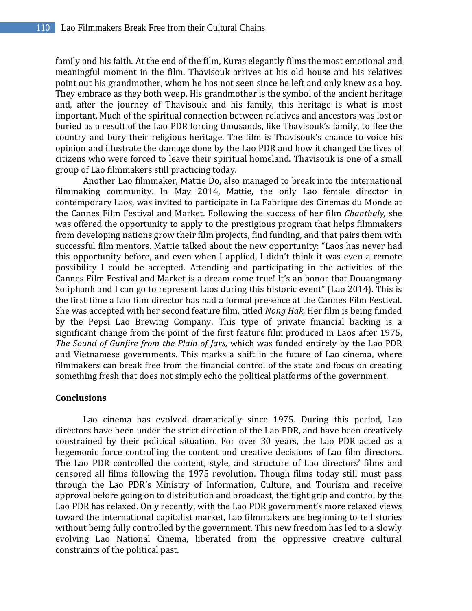family and his faith. At the end of the film, Kuras elegantly films the most emotional and meaningful moment in the film. Thavisouk arrives at his old house and his relatives point out his grandmother, whom he has not seen since he left and only knew as a boy. They embrace as they both weep. His grandmother is the symbol of the ancient heritage and, after the journey of Thavisouk and his family, this heritage is what is most important. Much of the spiritual connection between relatives and ancestors was lost or buried as a result of the Lao PDR forcing thousands, like Thavisouk's family, to flee the country and bury their religious heritage. The film is Thavisouk's chance to voice his opinion and illustrate the damage done by the Lao PDR and how it changed the lives of citizens who were forced to leave their spiritual homeland. Thavisouk is one of a small group of Lao filmmakers still practicing today.

Another Lao filmmaker, Mattie Do, also managed to break into the international filmmaking community. In May 2014, Mattie, the only Lao female director in contemporary Laos, was invited to participate in La Fabrique des Cinemas du Monde at the Cannes Film Festival and Market. Following the success of her film *Chanthaly,* she was offered the opportunity to apply to the prestigious program that helps filmmakers from developing nations grow their film projects, find funding, and that pairs them with successful film mentors. Mattie talked about the new opportunity: "Laos has never had this opportunity before, and even when I applied, I didn't think it was even a remote possibility I could be accepted. Attending and participating in the activities of the Cannes Film Festival and Market is a dream come true! It's an honor that Douangmany Soliphanh and I can go to represent Laos during this historic event" (Lao 2014). This is the first time a Lao film director has had a formal presence at the Cannes Film Festival. She was accepted with her second feature film, titled *Nong Hak.* Her film is being funded by the Pepsi Lao Brewing Company. This type of private financial backing is a significant change from the point of the first feature film produced in Laos after 1975, *The Sound of Gunfire from the Plain of Jars,* which was funded entirely by the Lao PDR and Vietnamese governments. This marks a shift in the future of Lao cinema, where filmmakers can break free from the financial control of the state and focus on creating something fresh that does not simply echo the political platforms of the government.

#### **Conclusions**

Lao cinema has evolved dramatically since 1975. During this period, Lao directors have been under the strict direction of the Lao PDR, and have been creatively constrained by their political situation. For over 30 years, the Lao PDR acted as a hegemonic force controlling the content and creative decisions of Lao film directors. The Lao PDR controlled the content, style, and structure of Lao directors' films and censored all films following the 1975 revolution. Though films today still must pass through the Lao PDR's Ministry of Information, Culture, and Tourism and receive approval before going on to distribution and broadcast, the tight grip and control by the Lao PDR has relaxed. Only recently, with the Lao PDR government's more relaxed views toward the international capitalist market, Lao filmmakers are beginning to tell stories without being fully controlled by the government. This new freedom has led to a slowly evolving Lao National Cinema, liberated from the oppressive creative cultural constraints of the political past.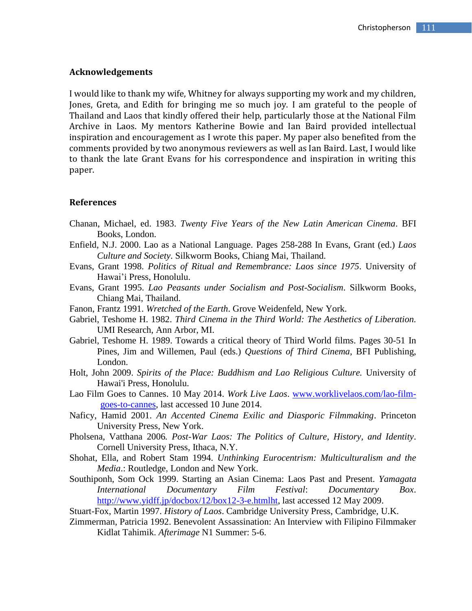#### **Acknowledgements**

I would like to thank my wife, Whitney for always supporting my work and my children, Jones, Greta, and Edith for bringing me so much joy. I am grateful to the people of Thailand and Laos that kindly offered their help, particularly those at the National Film Archive in Laos. My mentors Katherine Bowie and Ian Baird provided intellectual inspiration and encouragement as I wrote this paper. My paper also benefited from the comments provided by two anonymous reviewers as well as Ian Baird. Last, I would like to thank the late Grant Evans for his correspondence and inspiration in writing this paper.

#### **References**

- Chanan, Michael, ed. 1983. *Twenty Five Years of the New Latin American Cinema*. BFI Books, London.
- Enfield, N.J. 2000. Lao as a National Language. Pages 258-288 In Evans, Grant (ed.) *Laos Culture and Society*. Silkworm Books, Chiang Mai, Thailand.
- Evans, Grant 1998. *Politics of Ritual and Remembrance: Laos since 1975*. University of Hawai'i Press, Honolulu.
- Evans, Grant 1995. *Lao Peasants under Socialism and Post-Socialism*. Silkworm Books, Chiang Mai, Thailand.
- Fanon, Frantz 1991. *Wretched of the Earth*. Grove Weidenfeld, New York.
- Gabriel, Teshome H. 1982. *Third Cinema in the Third World: The Aesthetics of Liberation.* UMI Research, Ann Arbor, MI.
- Gabriel, Teshome H. 1989. Towards a critical theory of Third World films. Pages 30-51 In Pines, Jim and Willemen, Paul (eds.) *Questions of Third Cinema*, BFI Publishing, London.
- Holt, John 2009. *Spirits of the Place: Buddhism and Lao Religious Culture.* University of Hawai'i Press, Honolulu.
- Lao Film Goes to Cannes. 10 May 2014. *Work Live Laos*. [www.worklivelaos.com/lao-film](http://www.worklivelaos.com/lao-film-goes-to-cannes)[goes-to-cannes,](http://www.worklivelaos.com/lao-film-goes-to-cannes) last accessed 10 June 2014.
- Naficy, Hamid 2001. *An Accented Cinema Exilic and Diasporic Filmmaking*. Princeton University Press, New York.
- Pholsena, Vatthana 2006*. Post-War Laos: The Politics of Culture, History, and Identity*. Cornell University Press, Ithaca, N.Y.
- Shohat, Ella, and Robert Stam 1994. *Unthinking Eurocentrism: Multiculturalism and the Media*.: Routledge, London and New York.
- Southiponh, Som Ock 1999. Starting an Asian Cinema: Laos Past and Present. *Yamagata International Documentary Film Festival*: *Documentary Box*. [http://www.yidff.jp/docbox/12/box12-3-e.htmlht,](http://www.yidff.jp/docbox/12/box12-3-e.html) last accessed 12 May 2009.
- Stuart-Fox, Martin 1997. *History of Laos*. Cambridge University Press, Cambridge, U.K.
- Zimmerman, Patricia 1992. Benevolent Assassination: An Interview with Filipino Filmmaker Kidlat Tahimik. *Afterimage* N1 Summer: 5-6.